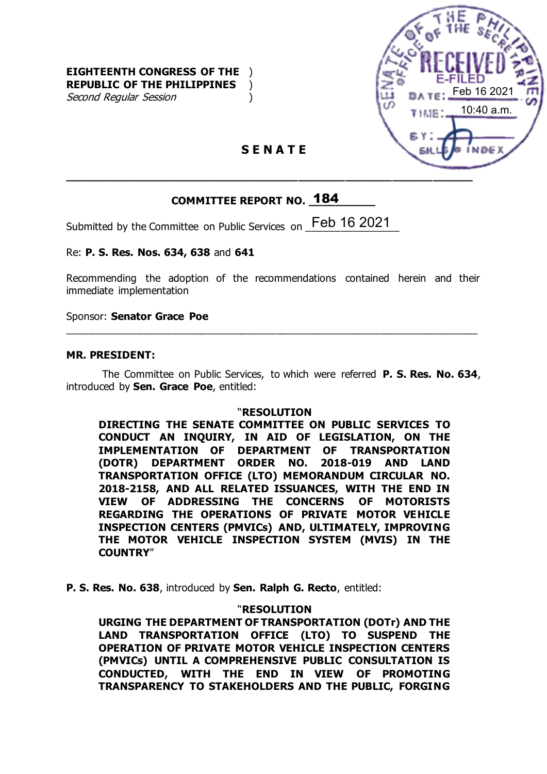

### **S E N A T E**

## **COMMITTEE REPORT NO. \_\_\_\_\_\_\_\_\_\_** 184

Submitted by the Committee on Public Services on  $\frac{\text{Feb}}{\text{16}}$  2021

Re: **P. S. Res. Nos. 634, 638** and **641**

Recommending the adoption of the recommendations contained herein and their immediate implementation

\_\_\_\_\_\_\_\_\_\_\_\_\_\_\_\_\_\_\_\_\_\_\_\_\_\_\_\_\_\_\_\_\_\_\_\_\_\_\_\_\_\_\_\_\_\_\_\_\_\_\_\_\_\_\_\_\_\_\_\_\_\_\_\_\_\_\_\_\_\_\_

Sponsor: **Senator Grace Poe**

#### **MR. PRESIDENT:**

The Committee on Public Services, to which were referred **P. S. Res. No. 634**, introduced by **Sen. Grace Poe**, entitled:

#### "**RESOLUTION**

**DIRECTING THE SENATE COMMITTEE ON PUBLIC SERVICES TO CONDUCT AN INQUIRY, IN AID OF LEGISLATION, ON THE IMPLEMENTATION OF DEPARTMENT OF TRANSPORTATION (DOTR) DEPARTMENT ORDER NO. 2018-019 AND LAND TRANSPORTATION OFFICE (LTO) MEMORANDUM CIRCULAR NO. 2018-2158, AND ALL RELATED ISSUANCES, WITH THE END IN VIEW OF ADDRESSING THE CONCERNS OF MOTORISTS REGARDING THE OPERATIONS OF PRIVATE MOTOR VEHICLE INSPECTION CENTERS (PMVICs) AND, ULTIMATELY, IMPROVING THE MOTOR VEHICLE INSPECTION SYSTEM (MVIS) IN THE COUNTRY**"

**P. S. Res. No. 638**, introduced by **Sen. Ralph G. Recto**, entitled:

#### "**RESOLUTION**

**URGING THE DEPARTMENT OF TRANSPORTATION (DOTr) AND THE LAND TRANSPORTATION OFFICE (LTO) TO SUSPEND THE OPERATION OF PRIVATE MOTOR VEHICLE INSPECTION CENTERS (PMVICs) UNTIL A COMPREHENSIVE PUBLIC CONSULTATION IS CONDUCTED, WITH THE END IN VIEW OF PROMOTING TRANSPARENCY TO STAKEHOLDERS AND THE PUBLIC, FORGING**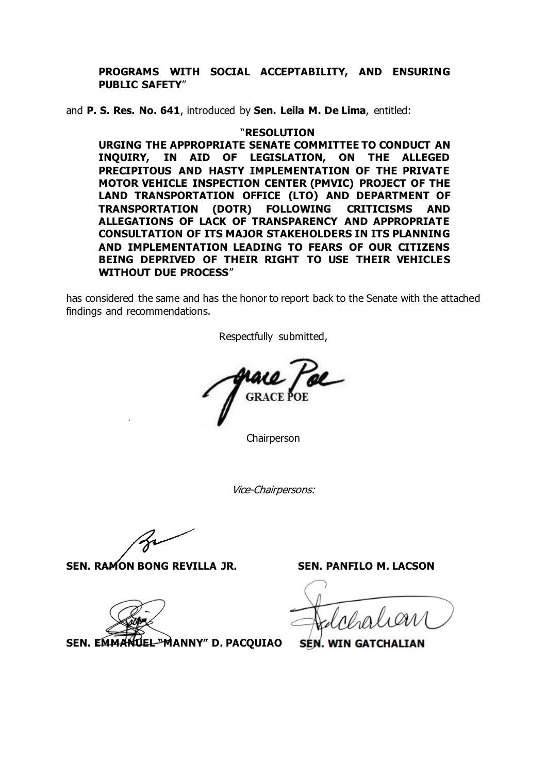#### **PROGRAMS WITH SOCIAL ACCEPTABILITY, AND ENSURING PUBLIC SAFETY**"

and **P. S. Res. No. 641**, introduced by **Sen. Leila M. De Lima**, entitled:

#### "**RESOLUTION**

**URGING THE APPROPRIATE SENATE COMMITTEE TO CONDUCT AN INQUIRY, IN AID OF LEGISLATION, ON THE ALLEGED PRECIPITOUS AND HASTY IMPLEMENTATION OF THE PRIVATE MOTOR VEHICLE INSPECTION CENTER (PMVIC) PROJECT OF THE LAND TRANSPORTATION OFFICE (LTO) AND DEPARTMENT OF TRANSPORTATION (DOTR) FOLLOWING CRITICISMS AND ALLEGATIONS OF LACK OF TRANSPARENCY AND APPROPRIATE CONSULTATION OF ITS MAJOR STAKEHOLDERS IN ITS PLANNING AND IMPLEMENTATION LEADING TO FEARS OF OUR CITIZENS BEING DEPRIVED OF THEIR RIGHT TO USE THEIR VEHICLES WITHOUT DUE PROCESS**"

has considered the same and has the honor to report back to the Senate with the attached findings and recommendations.

Respectfully submitted,

Chairperson

Vice-Chairpersons:

**SEN. RAMON BONG REVILLA JR. SEN. PANFILO M. LACSON**

4

**SEN. EMMANUEL "MANNY" D. PACQUIAO**

**SEN. WIN GATCHALI**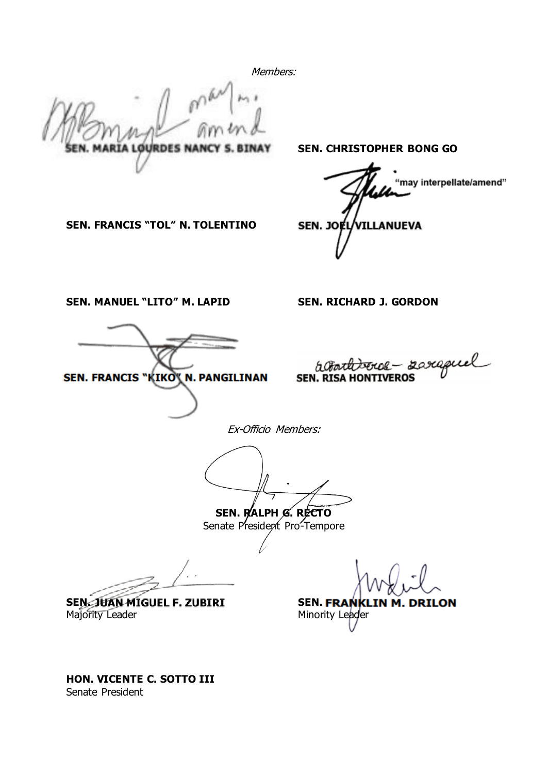Members:

**ARIA LOURDES NANC** 

**SEN. CHRISTOPHER BONG GO**

may interpellate/amend" SEN. JOLL VILLANUEVA

**SEN. FRANCIS "TOL" N. TOLENTINO**

**SEN. MANUEL "LITO" M. LAPID SEN. RICHARD J. GORDON**

SEN. FRANCIS "KIKO" N. PANGILINAN

actional server - saraguel

Ex-Officio Members:

**SEN. RALPH G. RECTO** Senate President Pro-Tempore

**SEN. JUAN MIGUEL F. ZUBIRI SEN. FRANKLIN M. DRILON** 

Majority Leader **Minority Leader** Minority Leader

**HON. VICENTE C. SOTTO III** Senate President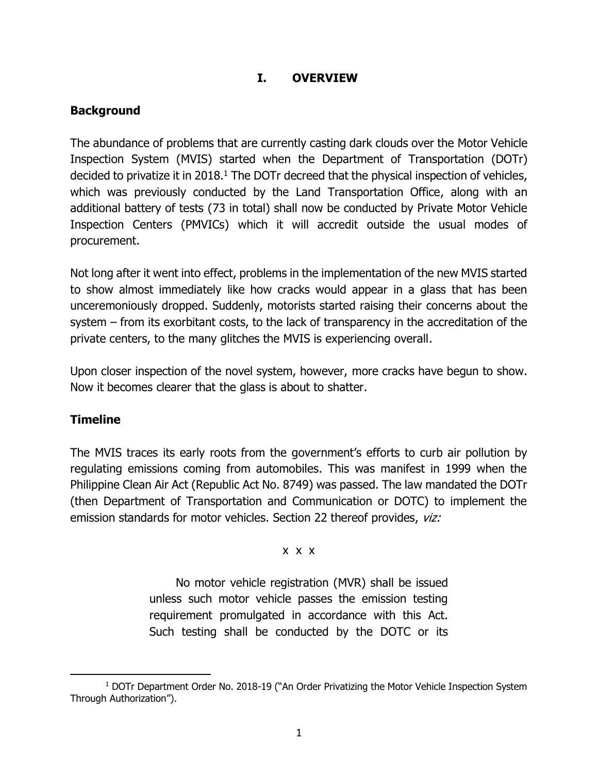## **I. OVERVIEW**

### **Background**

The abundance of problems that are currently casting dark clouds over the Motor Vehicle Inspection System (MVIS) started when the Department of Transportation (DOTr) decided to privatize it in 2018.<sup>1</sup> The DOTr decreed that the physical inspection of vehicles, which was previously conducted by the Land Transportation Office, along with an additional battery of tests (73 in total) shall now be conducted by Private Motor Vehicle Inspection Centers (PMVICs) which it will accredit outside the usual modes of procurement.

Not long after it went into effect, problems in the implementation of the new MVIS started to show almost immediately like how cracks would appear in a glass that has been unceremoniously dropped. Suddenly, motorists started raising their concerns about the system – from its exorbitant costs, to the lack of transparency in the accreditation of the private centers, to the many glitches the MVIS is experiencing overall.

Upon closer inspection of the novel system, however, more cracks have begun to show. Now it becomes clearer that the glass is about to shatter.

### **Timeline**

The MVIS traces its early roots from the government's efforts to curb air pollution by regulating emissions coming from automobiles. This was manifest in 1999 when the Philippine Clean Air Act (Republic Act No. 8749) was passed. The law mandated the DOTr (then Department of Transportation and Communication or DOTC) to implement the emission standards for motor vehicles. Section 22 thereof provides, viz:

x x x

No motor vehicle registration (MVR) shall be issued unless such motor vehicle passes the emission testing requirement promulgated in accordance with this Act. Such testing shall be conducted by the DOTC or its

<sup>&</sup>lt;sup>1</sup> DOTr Department Order No. 2018-19 ("An Order Privatizing the Motor Vehicle Inspection System Through Authorization").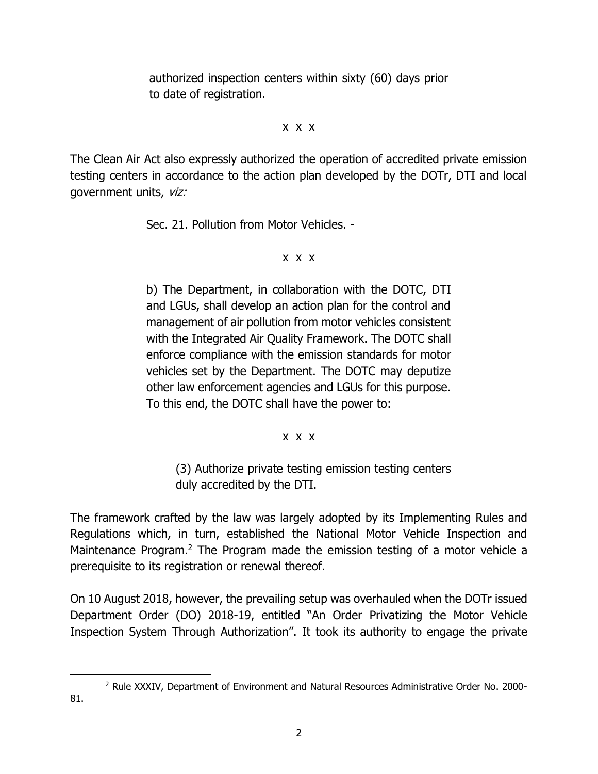authorized inspection centers within sixty (60) days prior to date of registration.

x x x

The Clean Air Act also expressly authorized the operation of accredited private emission testing centers in accordance to the action plan developed by the DOTr, DTI and local government units, viz:

Sec. 21. Pollution from Motor Vehicles. -

### x x x

b) The Department, in collaboration with the DOTC, DTI and LGUs, shall develop an action plan for the control and management of air pollution from motor vehicles consistent with the Integrated Air Quality Framework. The DOTC shall enforce compliance with the emission standards for motor vehicles set by the Department. The DOTC may deputize other law enforcement agencies and LGUs for this purpose. To this end, the DOTC shall have the power to:

#### x x x

(3) Authorize private testing emission testing centers duly accredited by the DTI.

The framework crafted by the law was largely adopted by its Implementing Rules and Regulations which, in turn, established the National Motor Vehicle Inspection and Maintenance Program.<sup>2</sup> The Program made the emission testing of a motor vehicle a prerequisite to its registration or renewal thereof.

On 10 August 2018, however, the prevailing setup was overhauled when the DOTr issued Department Order (DO) 2018-19, entitled "An Order Privatizing the Motor Vehicle Inspection System Through Authorization". It took its authority to engage the private

<sup>2</sup> Rule XXXIV, Department of Environment and Natural Resources Administrative Order No. 2000- 81.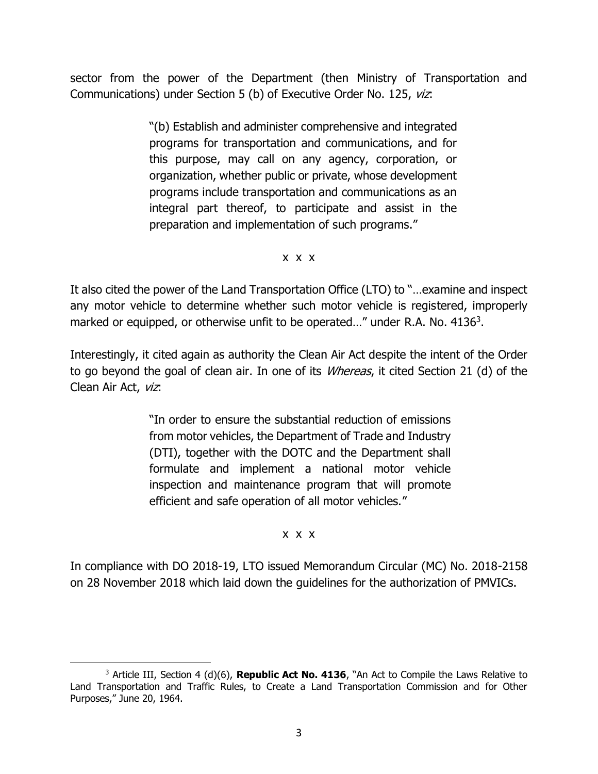sector from the power of the Department (then Ministry of Transportation and Communications) under Section 5 (b) of Executive Order No. 125, viz:

> "(b) Establish and administer comprehensive and integrated programs for transportation and communications, and for this purpose, may call on any agency, corporation, or organization, whether public or private, whose development programs include transportation and communications as an integral part thereof, to participate and assist in the preparation and implementation of such programs."

> > x x x

It also cited the power of the Land Transportation Office (LTO) to "…examine and inspect any motor vehicle to determine whether such motor vehicle is registered, improperly marked or equipped, or otherwise unfit to be operated..." under R.A. No. 4136<sup>3</sup>.

Interestingly, it cited again as authority the Clean Air Act despite the intent of the Order to go beyond the goal of clean air. In one of its *Whereas*, it cited Section 21 (d) of the Clean Air Act, viz:

> "In order to ensure the substantial reduction of emissions from motor vehicles, the Department of Trade and Industry (DTI), together with the DOTC and the Department shall formulate and implement a national motor vehicle inspection and maintenance program that will promote efficient and safe operation of all motor vehicles."

#### x x x

In compliance with DO 2018-19, LTO issued Memorandum Circular (MC) No. 2018-2158 on 28 November 2018 which laid down the guidelines for the authorization of PMVICs.

<sup>&</sup>lt;sup>3</sup> Article III, Section 4 (d)(6), **Republic Act No. 4136**, "An Act to Compile the Laws Relative to Land Transportation and Traffic Rules, to Create a Land Transportation Commission and for Other Purposes," June 20, 1964.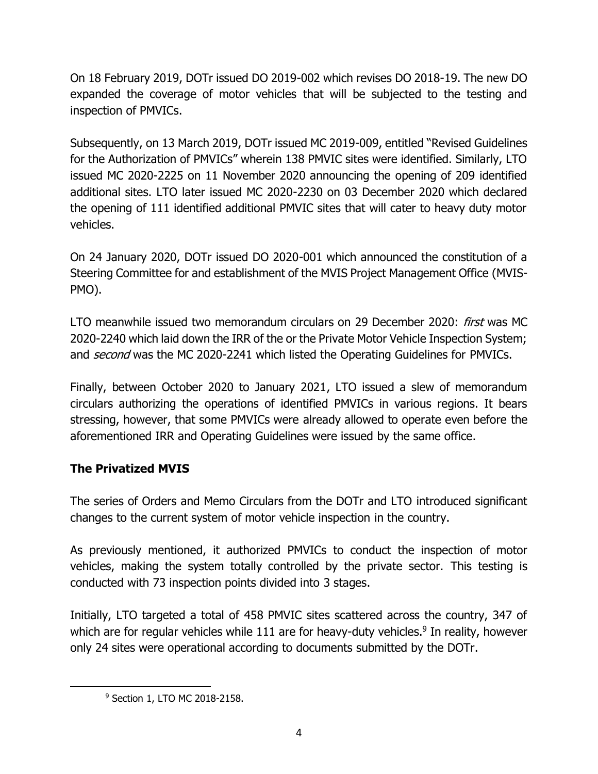On 18 February 2019, DOTr issued DO 2019-002 which revises DO 2018-19. The new DO expanded the coverage of motor vehicles that will be subjected to the testing and inspection of PMVICs.

Subsequently, on 13 March 2019, DOTr issued MC 2019-009, entitled "Revised Guidelines for the Authorization of PMVICs" wherein 138 PMVIC sites were identified. Similarly, LTO issued MC 2020-2225 on 11 November 2020 announcing the opening of 209 identified additional sites. LTO later issued MC 2020-2230 on 03 December 2020 which declared the opening of 111 identified additional PMVIC sites that will cater to heavy duty motor vehicles.

On 24 January 2020, DOTr issued DO 2020-001 which announced the constitution of a Steering Committee for and establishment of the MVIS Project Management Office (MVIS-PMO).

LTO meanwhile issued two memorandum circulars on 29 December 2020: *first* was MC 2020-2240 which laid down the IRR of the or the Private Motor Vehicle Inspection System; and *second* was the MC 2020-2241 which listed the Operating Guidelines for PMVICs.

Finally, between October 2020 to January 2021, LTO issued a slew of memorandum circulars authorizing the operations of identified PMVICs in various regions. It bears stressing, however, that some PMVICs were already allowed to operate even before the aforementioned IRR and Operating Guidelines were issued by the same office.

# **The Privatized MVIS**

The series of Orders and Memo Circulars from the DOTr and LTO introduced significant changes to the current system of motor vehicle inspection in the country.

As previously mentioned, it authorized PMVICs to conduct the inspection of motor vehicles, making the system totally controlled by the private sector. This testing is conducted with 73 inspection points divided into 3 stages.

Initially, LTO targeted a total of 458 PMVIC sites scattered across the country, 347 of which are for regular vehicles while 111 are for heavy-duty vehicles.<sup>9</sup> In reality, however only 24 sites were operational according to documents submitted by the DOTr.

<sup>9</sup> Section 1, LTO MC 2018-2158.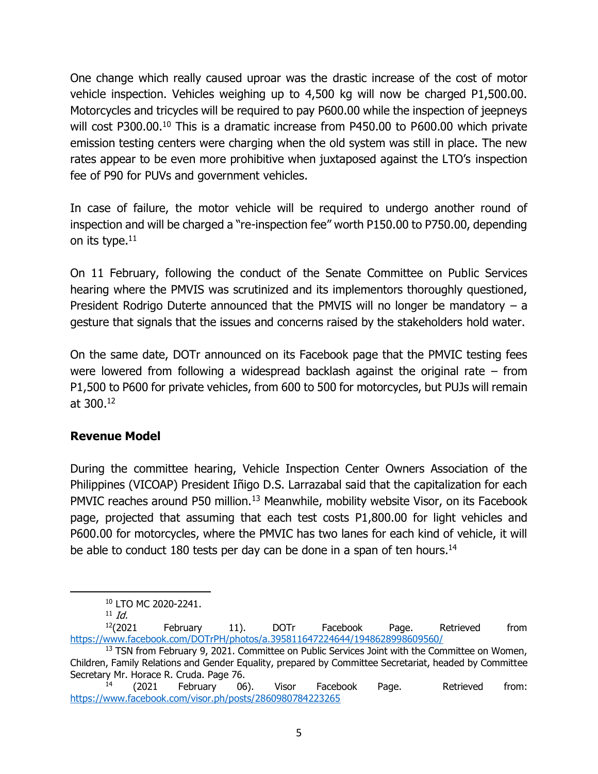One change which really caused uproar was the drastic increase of the cost of motor vehicle inspection. Vehicles weighing up to 4,500 kg will now be charged P1,500.00. Motorcycles and tricycles will be required to pay P600.00 while the inspection of jeepneys will cost P300.00.<sup>10</sup> This is a dramatic increase from P450.00 to P600.00 which private emission testing centers were charging when the old system was still in place. The new rates appear to be even more prohibitive when juxtaposed against the LTO's inspection fee of P90 for PUVs and government vehicles.

In case of failure, the motor vehicle will be required to undergo another round of inspection and will be charged a "re-inspection fee" worth P150.00 to P750.00, depending on its type. $11$ 

On 11 February, following the conduct of the Senate Committee on Public Services hearing where the PMVIS was scrutinized and its implementors thoroughly questioned, President Rodrigo Duterte announced that the PMVIS will no longer be mandatory  $- a$ gesture that signals that the issues and concerns raised by the stakeholders hold water.

On the same date, DOTr announced on its Facebook page that the PMVIC testing fees were lowered from following a widespread backlash against the original rate – from P1,500 to P600 for private vehicles, from 600 to 500 for motorcycles, but PUJs will remain at 300. 12

## **Revenue Model**

During the committee hearing, Vehicle Inspection Center Owners Association of the Philippines (VICOAP) President Iñigo D.S. Larrazabal said that the capitalization for each PMVIC reaches around P50 million.<sup>13</sup> Meanwhile, mobility website Visor, on its Facebook page, projected that assuming that each test costs P1,800.00 for light vehicles and P600.00 for motorcycles, where the PMVIC has two lanes for each kind of vehicle, it will be able to conduct 180 tests per day can be done in a span of ten hours.<sup>14</sup>

<sup>10</sup> LTO MC 2020-2241.

 $11$  Id.

 $12(2021$  February 11). DOTr Facebook Page. Retrieved from <https://www.facebook.com/DOTrPH/photos/a.395811647224644/1948628998609560/>

<sup>&</sup>lt;sup>13</sup> TSN from February 9, 2021. Committee on Public Services Joint with the Committee on Women, Children, Family Relations and Gender Equality, prepared by Committee Secretariat, headed by Committee Secretary Mr. Horace R. Cruda. Page 76.

 $14$  (2021 February 06). Visor Facebook Page. Retrieved from: <https://www.facebook.com/visor.ph/posts/2860980784223265>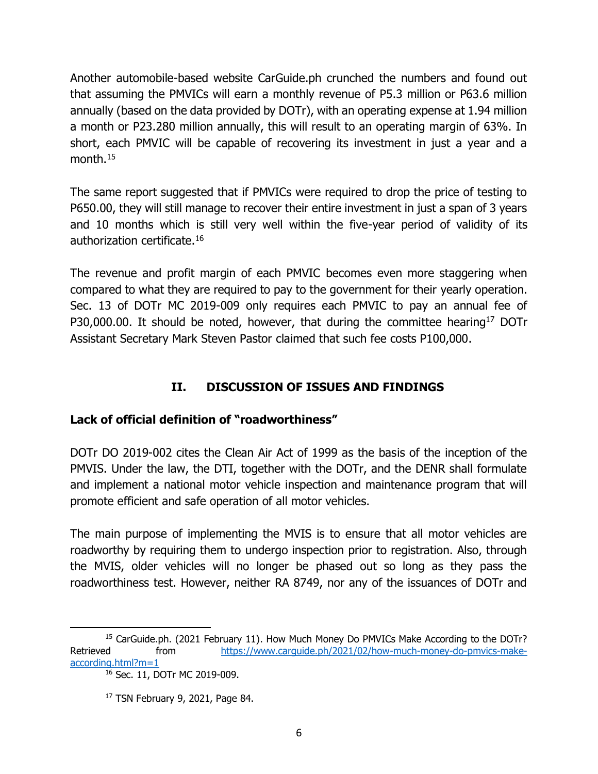Another automobile-based website CarGuide.ph crunched the numbers and found out that assuming the PMVICs will earn a monthly revenue of P5.3 million or P63.6 million annually (based on the data provided by DOTr), with an operating expense at 1.94 million a month or P23.280 million annually, this will result to an operating margin of 63%. In short, each PMVIC will be capable of recovering its investment in just a year and a month.<sup>15</sup>

The same report suggested that if PMVICs were required to drop the price of testing to P650.00, they will still manage to recover their entire investment in just a span of 3 years and 10 months which is still very well within the five-year period of validity of its authorization certificate.<sup>16</sup>

The revenue and profit margin of each PMVIC becomes even more staggering when compared to what they are required to pay to the government for their yearly operation. Sec. 13 of DOTr MC 2019-009 only requires each PMVIC to pay an annual fee of P30,000.00. It should be noted, however, that during the committee hearing<sup>17</sup> DOTr Assistant Secretary Mark Steven Pastor claimed that such fee costs P100,000.

# **II. DISCUSSION OF ISSUES AND FINDINGS**

## **Lack of official definition of "roadworthiness"**

DOTr DO 2019-002 cites the Clean Air Act of 1999 as the basis of the inception of the PMVIS. Under the law, the DTI, together with the DOTr, and the DENR shall formulate and implement a national motor vehicle inspection and maintenance program that will promote efficient and safe operation of all motor vehicles.

The main purpose of implementing the MVIS is to ensure that all motor vehicles are roadworthy by requiring them to undergo inspection prior to registration. Also, through the MVIS, older vehicles will no longer be phased out so long as they pass the roadworthiness test. However, neither RA 8749, nor any of the issuances of DOTr and

<sup>16</sup> Sec. 11, DOTr MC 2019-009.

<sup>&</sup>lt;sup>15</sup> CarGuide.ph. (2021 February 11). How Much Money Do PMVICs Make According to the DOTr? Retrieved from [https://www.carguide.ph/2021/02/how-much-money-do-pmvics-make](https://www.carguide.ph/2021/02/how-much-money-do-pmvics-make-according.html?m=1)[according.html?m=1](https://www.carguide.ph/2021/02/how-much-money-do-pmvics-make-according.html?m=1)

<sup>17</sup> TSN February 9, 2021, Page 84.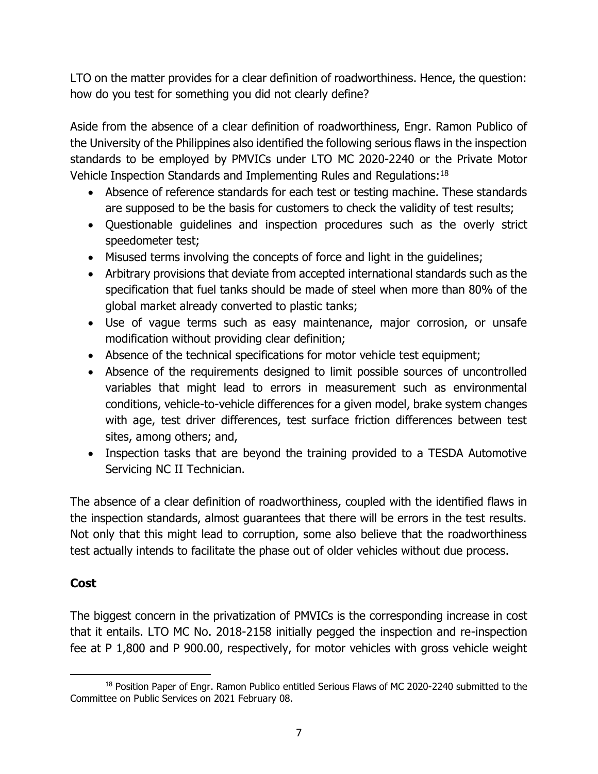LTO on the matter provides for a clear definition of roadworthiness. Hence, the question: how do you test for something you did not clearly define?

Aside from the absence of a clear definition of roadworthiness, Engr. Ramon Publico of the University of the Philippines also identified the following serious flaws in the inspection standards to be employed by PMVICs under LTO MC 2020-2240 or the Private Motor Vehicle Inspection Standards and Implementing Rules and Regulations:<sup>18</sup>

- Absence of reference standards for each test or testing machine. These standards are supposed to be the basis for customers to check the validity of test results;
- Questionable guidelines and inspection procedures such as the overly strict speedometer test;
- Misused terms involving the concepts of force and light in the guidelines;
- Arbitrary provisions that deviate from accepted international standards such as the specification that fuel tanks should be made of steel when more than 80% of the global market already converted to plastic tanks;
- Use of vague terms such as easy maintenance, major corrosion, or unsafe modification without providing clear definition;
- Absence of the technical specifications for motor vehicle test equipment;
- Absence of the requirements designed to limit possible sources of uncontrolled variables that might lead to errors in measurement such as environmental conditions, vehicle-to-vehicle differences for a given model, brake system changes with age, test driver differences, test surface friction differences between test sites, among others; and,
- Inspection tasks that are beyond the training provided to a TESDA Automotive Servicing NC II Technician.

The absence of a clear definition of roadworthiness, coupled with the identified flaws in the inspection standards, almost guarantees that there will be errors in the test results. Not only that this might lead to corruption, some also believe that the roadworthiness test actually intends to facilitate the phase out of older vehicles without due process.

## **Cost**

The biggest concern in the privatization of PMVICs is the corresponding increase in cost that it entails. LTO MC No. 2018-2158 initially pegged the inspection and re-inspection fee at P 1,800 and P 900.00, respectively, for motor vehicles with gross vehicle weight

<sup>&</sup>lt;sup>18</sup> Position Paper of Engr. Ramon Publico entitled Serious Flaws of MC 2020-2240 submitted to the Committee on Public Services on 2021 February 08.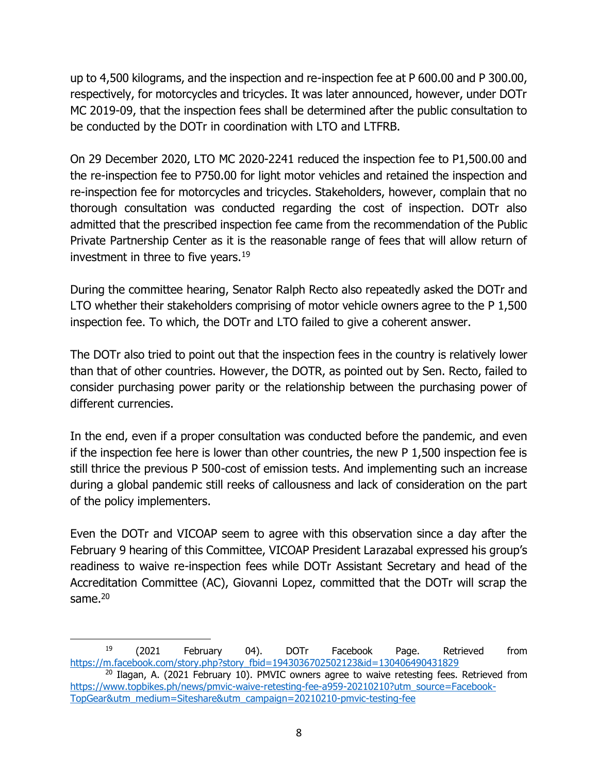up to 4,500 kilograms, and the inspection and re-inspection fee at P 600.00 and P 300.00, respectively, for motorcycles and tricycles. It was later announced, however, under DOTr MC 2019-09, that the inspection fees shall be determined after the public consultation to be conducted by the DOTr in coordination with LTO and LTFRB.

On 29 December 2020, LTO MC 2020-2241 reduced the inspection fee to P1,500.00 and the re-inspection fee to P750.00 for light motor vehicles and retained the inspection and re-inspection fee for motorcycles and tricycles. Stakeholders, however, complain that no thorough consultation was conducted regarding the cost of inspection. DOTr also admitted that the prescribed inspection fee came from the recommendation of the Public Private Partnership Center as it is the reasonable range of fees that will allow return of investment in three to five years. $19$ 

During the committee hearing, Senator Ralph Recto also repeatedly asked the DOTr and LTO whether their stakeholders comprising of motor vehicle owners agree to the P 1,500 inspection fee. To which, the DOTr and LTO failed to give a coherent answer.

The DOTr also tried to point out that the inspection fees in the country is relatively lower than that of other countries. However, the DOTR, as pointed out by Sen. Recto, failed to consider purchasing power parity or the relationship between the purchasing power of different currencies.

In the end, even if a proper consultation was conducted before the pandemic, and even if the inspection fee here is lower than other countries, the new P 1,500 inspection fee is still thrice the previous P 500-cost of emission tests. And implementing such an increase during a global pandemic still reeks of callousness and lack of consideration on the part of the policy implementers.

Even the DOTr and VICOAP seem to agree with this observation since a day after the February 9 hearing of this Committee, VICOAP President Larazabal expressed his group's readiness to waive re-inspection fees while DOTr Assistant Secretary and head of the Accreditation Committee (AC), Giovanni Lopez, committed that the DOTr will scrap the same. $20$ 

<sup>&</sup>lt;sup>19</sup> (2021 February 04). DOTr Facebook Page. Retrieved from [https://m.facebook.com/story.php?story\\_fbid=1943036702502123&id=130406490431829](https://m.facebook.com/story.php?story_fbid=1943036702502123&id=130406490431829)

 $20$  Ilagan, A. (2021 February 10). PMVIC owners agree to waive retesting fees. Retrieved from [https://www.topbikes.ph/news/pmvic-waive-retesting-fee-a959-20210210?utm\\_source=Facebook-](https://www.topbikes.ph/news/pmvic-waive-retesting-fee-a959-20210210?utm_source=Facebook-TopGear&utm_medium=Siteshare&utm_campaign=20210210-pmvic-testing-fee)[TopGear&utm\\_medium=Siteshare&utm\\_campaign=20210210-pmvic-testing-fee](https://www.topbikes.ph/news/pmvic-waive-retesting-fee-a959-20210210?utm_source=Facebook-TopGear&utm_medium=Siteshare&utm_campaign=20210210-pmvic-testing-fee)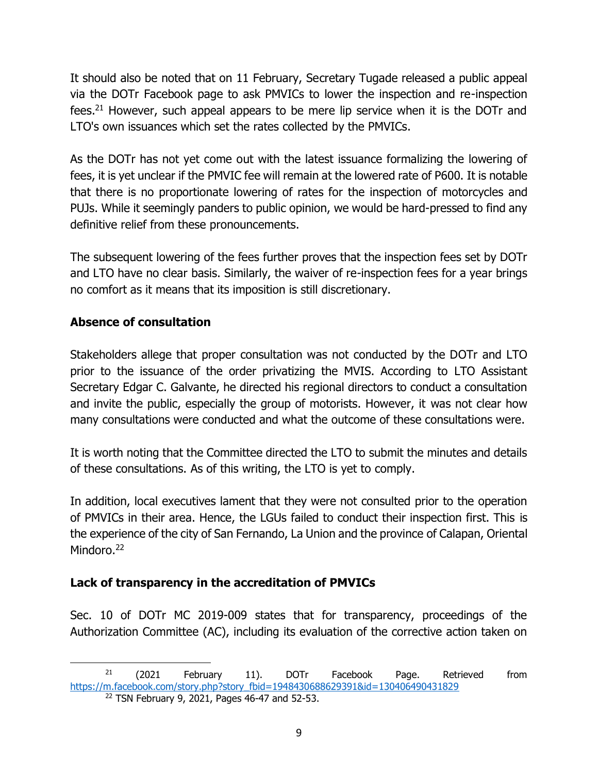It should also be noted that on 11 February, Secretary Tugade released a public appeal via the DOTr Facebook page to ask PMVICs to lower the inspection and re-inspection fees.<sup>21</sup> However, such appeal appears to be mere lip service when it is the DOTr and LTO's own issuances which set the rates collected by the PMVICs.

As the DOTr has not yet come out with the latest issuance formalizing the lowering of fees, it is yet unclear if the PMVIC fee will remain at the lowered rate of P600. It is notable that there is no proportionate lowering of rates for the inspection of motorcycles and PUJs. While it seemingly panders to public opinion, we would be hard-pressed to find any definitive relief from these pronouncements.

The subsequent lowering of the fees further proves that the inspection fees set by DOTr and LTO have no clear basis. Similarly, the waiver of re-inspection fees for a year brings no comfort as it means that its imposition is still discretionary.

# **Absence of consultation**

Stakeholders allege that proper consultation was not conducted by the DOTr and LTO prior to the issuance of the order privatizing the MVIS. According to LTO Assistant Secretary Edgar C. Galvante, he directed his regional directors to conduct a consultation and invite the public, especially the group of motorists. However, it was not clear how many consultations were conducted and what the outcome of these consultations were.

It is worth noting that the Committee directed the LTO to submit the minutes and details of these consultations. As of this writing, the LTO is yet to comply.

In addition, local executives lament that they were not consulted prior to the operation of PMVICs in their area. Hence, the LGUs failed to conduct their inspection first. This is the experience of the city of San Fernando, La Union and the province of Calapan, Oriental Mindoro.<sup>22</sup>

# **Lack of transparency in the accreditation of PMVICs**

Sec. 10 of DOTr MC 2019-009 states that for transparency, proceedings of the Authorization Committee (AC), including its evaluation of the corrective action taken on

 $21$  (2021 February 11). DOTr Facebook Page. Retrieved from [https://m.facebook.com/story.php?story\\_fbid=1948430688629391&id=130406490431829](https://m.facebook.com/story.php?story_fbid=1948430688629391&id=130406490431829)

<sup>22</sup> TSN February 9, 2021, Pages 46-47 and 52-53.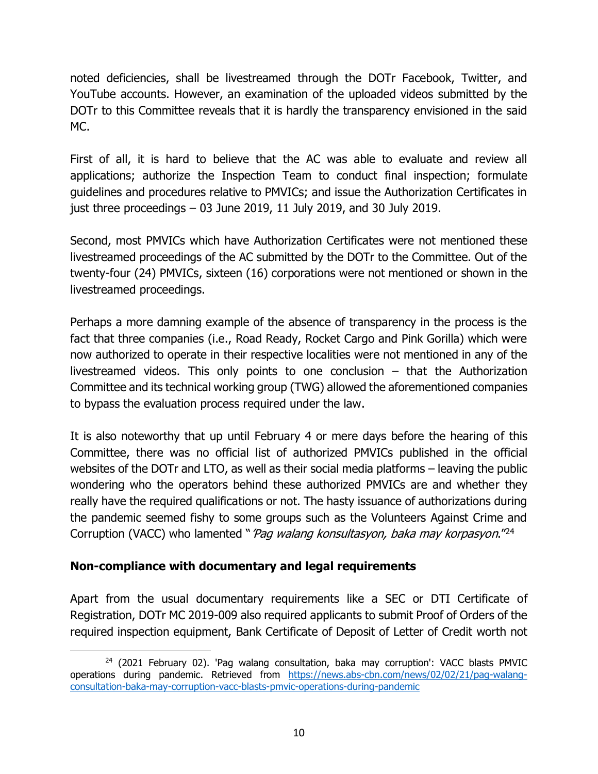noted deficiencies, shall be livestreamed through the DOTr Facebook, Twitter, and YouTube accounts. However, an examination of the uploaded videos submitted by the DOTr to this Committee reveals that it is hardly the transparency envisioned in the said MC.

First of all, it is hard to believe that the AC was able to evaluate and review all applications; authorize the Inspection Team to conduct final inspection; formulate guidelines and procedures relative to PMVICs; and issue the Authorization Certificates in just three proceedings – 03 June 2019, 11 July 2019, and 30 July 2019.

Second, most PMVICs which have Authorization Certificates were not mentioned these livestreamed proceedings of the AC submitted by the DOTr to the Committee. Out of the twenty-four (24) PMVICs, sixteen (16) corporations were not mentioned or shown in the livestreamed proceedings.

Perhaps a more damning example of the absence of transparency in the process is the fact that three companies (i.e., Road Ready, Rocket Cargo and Pink Gorilla) which were now authorized to operate in their respective localities were not mentioned in any of the livestreamed videos. This only points to one conclusion – that the Authorization Committee and its technical working group (TWG) allowed the aforementioned companies to bypass the evaluation process required under the law.

It is also noteworthy that up until February 4 or mere days before the hearing of this Committee, there was no official list of authorized PMVICs published in the official websites of the DOTr and LTO, as well as their social media platforms – leaving the public wondering who the operators behind these authorized PMVICs are and whether they really have the required qualifications or not. The hasty issuance of authorizations during the pandemic seemed fishy to some groups such as the Volunteers Against Crime and Corruption (VACC) who lamented "*'Pag walang konsultasyon, baka may korpasyon*.<sup>"24</sup>

# **Non-compliance with documentary and legal requirements**

Apart from the usual documentary requirements like a SEC or DTI Certificate of Registration, DOTr MC 2019-009 also required applicants to submit Proof of Orders of the required inspection equipment, Bank Certificate of Deposit of Letter of Credit worth not

 $24$  (2021 February 02). 'Pag walang consultation, baka may corruption': VACC blasts PMVIC operations during pandemic. Retrieved from [https://news.abs-cbn.com/news/02/02/21/pag-walang](https://news.abs-cbn.com/news/02/02/21/pag-walang-consultation-baka-may-corruption-vacc-blasts-pmvic-operations-during-pandemic)[consultation-baka-may-corruption-vacc-blasts-pmvic-operations-during-pandemic](https://news.abs-cbn.com/news/02/02/21/pag-walang-consultation-baka-may-corruption-vacc-blasts-pmvic-operations-during-pandemic)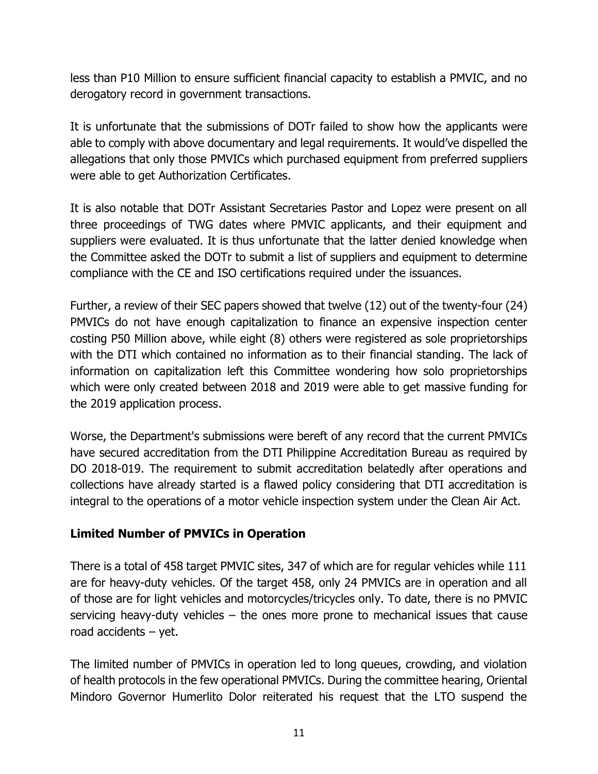less than P10 Million to ensure sufficient financial capacity to establish a PMVIC, and no derogatory record in government transactions.

It is unfortunate that the submissions of DOTr failed to show how the applicants were able to comply with above documentary and legal requirements. It would've dispelled the allegations that only those PMVICs which purchased equipment from preferred suppliers were able to get Authorization Certificates.

It is also notable that DOTr Assistant Secretaries Pastor and Lopez were present on all three proceedings of TWG dates where PMVIC applicants, and their equipment and suppliers were evaluated. It is thus unfortunate that the latter denied knowledge when the Committee asked the DOTr to submit a list of suppliers and equipment to determine compliance with the CE and ISO certifications required under the issuances.

Further, a review of their SEC papers showed that twelve (12) out of the twenty-four (24) PMVICs do not have enough capitalization to finance an expensive inspection center costing P50 Million above, while eight (8) others were registered as sole proprietorships with the DTI which contained no information as to their financial standing. The lack of information on capitalization left this Committee wondering how solo proprietorships which were only created between 2018 and 2019 were able to get massive funding for the 2019 application process.

Worse, the Department's submissions were bereft of any record that the current PMVICs have secured accreditation from the DTI Philippine Accreditation Bureau as required by DO 2018-019. The requirement to submit accreditation belatedly after operations and collections have already started is a flawed policy considering that DTI accreditation is integral to the operations of a motor vehicle inspection system under the Clean Air Act.

## **Limited Number of PMVICs in Operation**

There is a total of 458 target PMVIC sites, 347 of which are for regular vehicles while 111 are for heavy-duty vehicles. Of the target 458, only 24 PMVICs are in operation and all of those are for light vehicles and motorcycles/tricycles only. To date, there is no PMVIC servicing heavy-duty vehicles – the ones more prone to mechanical issues that cause road accidents – yet.

The limited number of PMVICs in operation led to long queues, crowding, and violation of health protocols in the few operational PMVICs. During the committee hearing, Oriental Mindoro Governor Humerlito Dolor reiterated his request that the LTO suspend the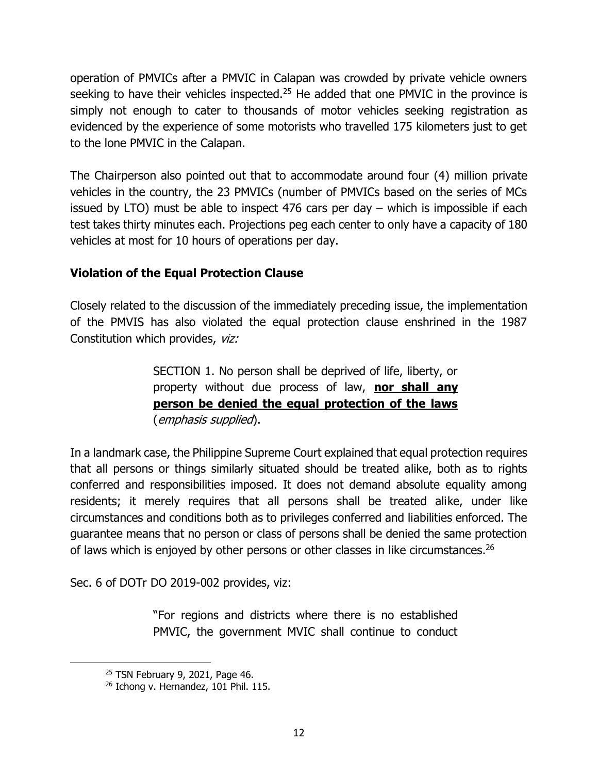operation of PMVICs after a PMVIC in Calapan was crowded by private vehicle owners seeking to have their vehicles inspected.<sup>25</sup> He added that one PMVIC in the province is simply not enough to cater to thousands of motor vehicles seeking registration as evidenced by the experience of some motorists who travelled 175 kilometers just to get to the lone PMVIC in the Calapan.

The Chairperson also pointed out that to accommodate around four (4) million private vehicles in the country, the 23 PMVICs (number of PMVICs based on the series of MCs issued by LTO) must be able to inspect 476 cars per day – which is impossible if each test takes thirty minutes each. Projections peg each center to only have a capacity of 180 vehicles at most for 10 hours of operations per day.

## **Violation of the Equal Protection Clause**

Closely related to the discussion of the immediately preceding issue, the implementation of the PMVIS has also violated the equal protection clause enshrined in the 1987 Constitution which provides, viz:

> SECTION 1. No person shall be deprived of life, liberty, or property without due process of law, **nor shall any person be denied the equal protection of the laws** (emphasis supplied).

In a landmark case, the Philippine Supreme Court explained that equal protection requires that all persons or things similarly situated should be treated alike, both as to rights conferred and responsibilities imposed. It does not demand absolute equality among residents; it merely requires that all persons shall be treated alike, under like circumstances and conditions both as to privileges conferred and liabilities enforced. The guarantee means that no person or class of persons shall be denied the same protection of laws which is enjoyed by other persons or other classes in like circumstances.<sup>26</sup>

Sec. 6 of DOTr DO 2019-002 provides, viz:

"For regions and districts where there is no established PMVIC, the government MVIC shall continue to conduct

<sup>25</sup> TSN February 9, 2021, Page 46.

<sup>&</sup>lt;sup>26</sup> Ichong v. Hernandez, 101 Phil. 115.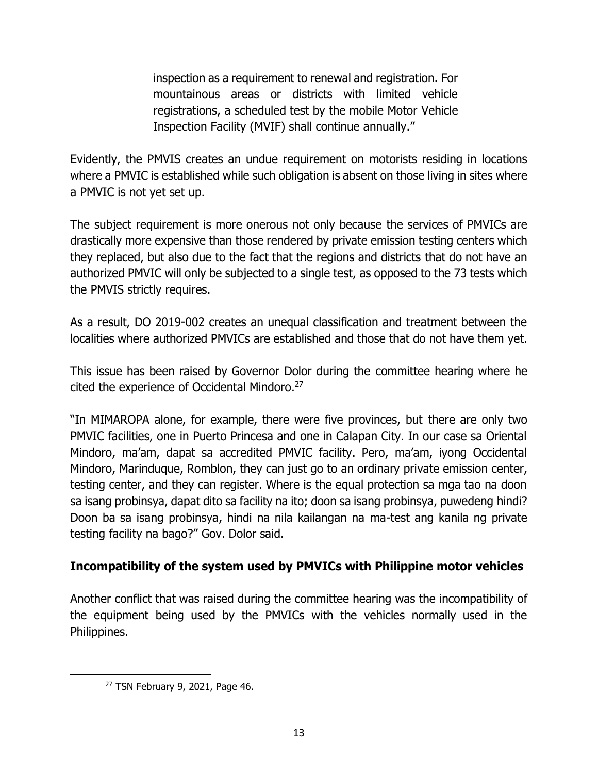inspection as a requirement to renewal and registration. For mountainous areas or districts with limited vehicle registrations, a scheduled test by the mobile Motor Vehicle Inspection Facility (MVIF) shall continue annually."

Evidently, the PMVIS creates an undue requirement on motorists residing in locations where a PMVIC is established while such obligation is absent on those living in sites where a PMVIC is not yet set up.

The subject requirement is more onerous not only because the services of PMVICs are drastically more expensive than those rendered by private emission testing centers which they replaced, but also due to the fact that the regions and districts that do not have an authorized PMVIC will only be subjected to a single test, as opposed to the 73 tests which the PMVIS strictly requires.

As a result, DO 2019-002 creates an unequal classification and treatment between the localities where authorized PMVICs are established and those that do not have them yet.

This issue has been raised by Governor Dolor during the committee hearing where he cited the experience of Occidental Mindoro.<sup>27</sup>

"In MIMAROPA alone, for example, there were five provinces, but there are only two PMVIC facilities, one in Puerto Princesa and one in Calapan City. In our case sa Oriental Mindoro, ma'am, dapat sa accredited PMVIC facility. Pero, ma'am, iyong Occidental Mindoro, Marinduque, Romblon, they can just go to an ordinary private emission center, testing center, and they can register. Where is the equal protection sa mga tao na doon sa isang probinsya, dapat dito sa facility na ito; doon sa isang probinsya, puwedeng hindi? Doon ba sa isang probinsya, hindi na nila kailangan na ma-test ang kanila ng private testing facility na bago?" Gov. Dolor said.

## **Incompatibility of the system used by PMVICs with Philippine motor vehicles**

Another conflict that was raised during the committee hearing was the incompatibility of the equipment being used by the PMVICs with the vehicles normally used in the Philippines.

<sup>27</sup> TSN February 9, 2021, Page 46.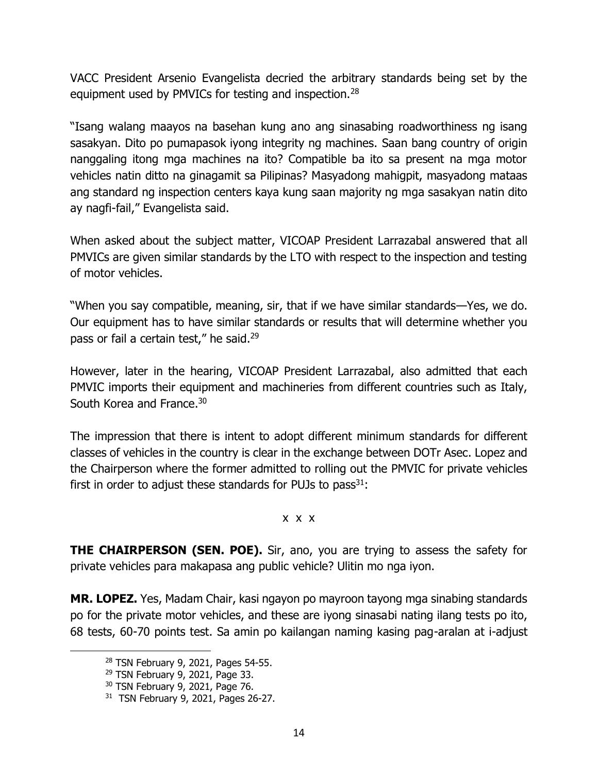VACC President Arsenio Evangelista decried the arbitrary standards being set by the equipment used by PMVICs for testing and inspection.<sup>28</sup>

"Isang walang maayos na basehan kung ano ang sinasabing roadworthiness ng isang sasakyan. Dito po pumapasok iyong integrity ng machines. Saan bang country of origin nanggaling itong mga machines na ito? Compatible ba ito sa present na mga motor vehicles natin ditto na ginagamit sa Pilipinas? Masyadong mahigpit, masyadong mataas ang standard ng inspection centers kaya kung saan majority ng mga sasakyan natin dito ay nagfi-fail," Evangelista said.

When asked about the subject matter, VICOAP President Larrazabal answered that all PMVICs are given similar standards by the LTO with respect to the inspection and testing of motor vehicles.

"When you say compatible, meaning, sir, that if we have similar standards—Yes, we do. Our equipment has to have similar standards or results that will determine whether you pass or fail a certain test," he said.<sup>29</sup>

However, later in the hearing, VICOAP President Larrazabal, also admitted that each PMVIC imports their equipment and machineries from different countries such as Italy, South Korea and France.<sup>30</sup>

The impression that there is intent to adopt different minimum standards for different classes of vehicles in the country is clear in the exchange between DOTr Asec. Lopez and the Chairperson where the former admitted to rolling out the PMVIC for private vehicles first in order to adjust these standards for PUJs to pass $^{31}$ :

#### x x x

**THE CHAIRPERSON (SEN. POE).** Sir, ano, you are trying to assess the safety for private vehicles para makapasa ang public vehicle? Ulitin mo nga iyon.

**MR. LOPEZ.** Yes, Madam Chair, kasi ngayon po mayroon tayong mga sinabing standards po for the private motor vehicles, and these are iyong sinasabi nating ilang tests po ito, 68 tests, 60-70 points test. Sa amin po kailangan naming kasing pag-aralan at i-adjust

<sup>28</sup> TSN February 9, 2021, Pages 54-55.

<sup>29</sup> TSN February 9, 2021, Page 33.

<sup>30</sup> TSN February 9, 2021, Page 76.

<sup>31</sup> TSN February 9, 2021, Pages 26-27.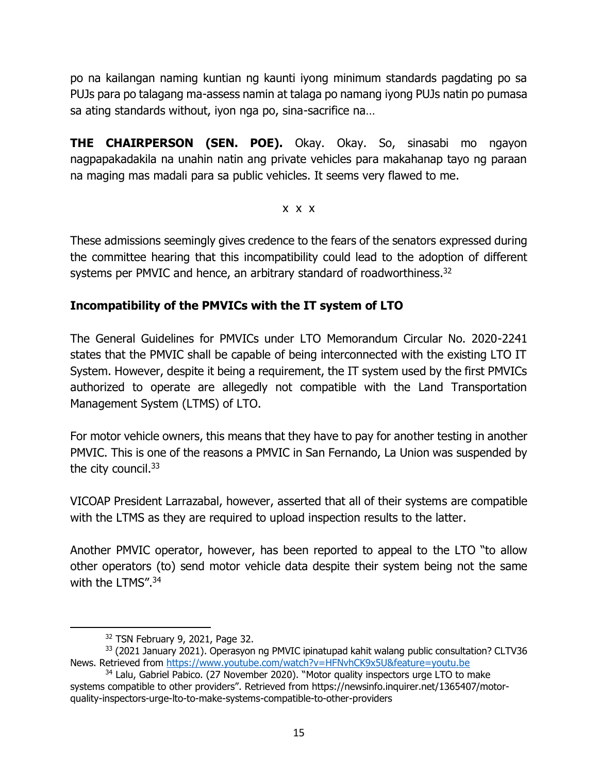po na kailangan naming kuntian ng kaunti iyong minimum standards pagdating po sa PUJs para po talagang ma-assess namin at talaga po namang iyong PUJs natin po pumasa sa ating standards without, iyon nga po, sina-sacrifice na…

**THE CHAIRPERSON (SEN. POE).** Okay. Okay. So, sinasabi mo ngayon nagpapakadakila na unahin natin ang private vehicles para makahanap tayo ng paraan na maging mas madali para sa public vehicles. It seems very flawed to me.

### x x x

These admissions seemingly gives credence to the fears of the senators expressed during the committee hearing that this incompatibility could lead to the adoption of different systems per PMVIC and hence, an arbitrary standard of roadworthiness.<sup>32</sup>

## **Incompatibility of the PMVICs with the IT system of LTO**

The General Guidelines for PMVICs under LTO Memorandum Circular No. 2020-2241 states that the PMVIC shall be capable of being interconnected with the existing LTO IT System. However, despite it being a requirement, the IT system used by the first PMVICs authorized to operate are allegedly not compatible with the Land Transportation Management System (LTMS) of LTO.

For motor vehicle owners, this means that they have to pay for another testing in another PMVIC. This is one of the reasons a PMVIC in San Fernando, La Union was suspended by the city council.<sup>33</sup>

VICOAP President Larrazabal, however, asserted that all of their systems are compatible with the LTMS as they are required to upload inspection results to the latter.

Another PMVIC operator, however, has been reported to appeal to the LTO "to allow other operators (to) send motor vehicle data despite their system being not the same with the LTMS". 34

<sup>32</sup> TSN February 9, 2021, Page 32.

<sup>&</sup>lt;sup>33</sup> (2021 January 2021). Operasyon ng PMVIC ipinatupad kahit walang public consultation? CLTV36 News. Retrieved from<https://www.youtube.com/watch?v=HFNvhCK9x5U&feature=youtu.be>

<sup>&</sup>lt;sup>34</sup> Lalu, Gabriel Pabico. (27 November 2020). "Motor quality inspectors urge LTO to make systems compatible to other providers". Retrieved from https://newsinfo.inquirer.net/1365407/motorquality-inspectors-urge-lto-to-make-systems-compatible-to-other-providers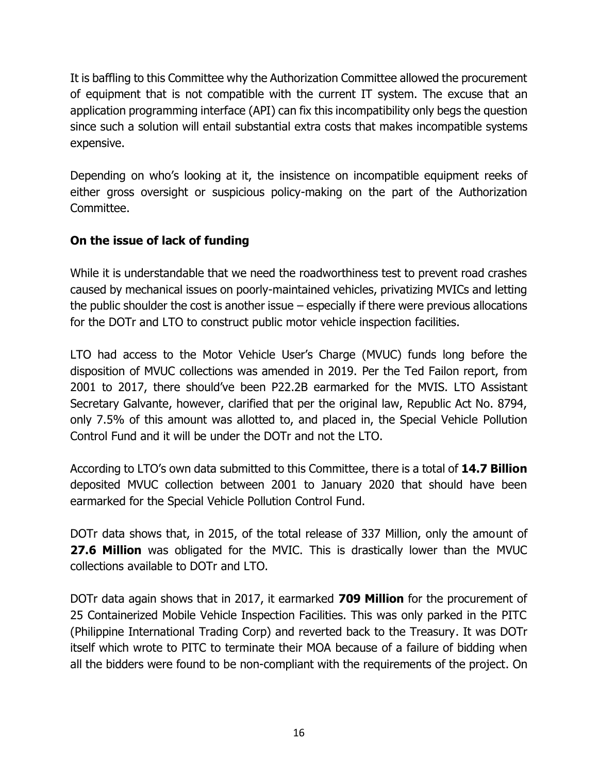It is baffling to this Committee why the Authorization Committee allowed the procurement of equipment that is not compatible with the current IT system. The excuse that an application programming interface (API) can fix this incompatibility only begs the question since such a solution will entail substantial extra costs that makes incompatible systems expensive.

Depending on who's looking at it, the insistence on incompatible equipment reeks of either gross oversight or suspicious policy-making on the part of the Authorization Committee.

# **On the issue of lack of funding**

While it is understandable that we need the roadworthiness test to prevent road crashes caused by mechanical issues on poorly-maintained vehicles, privatizing MVICs and letting the public shoulder the cost is another issue – especially if there were previous allocations for the DOTr and LTO to construct public motor vehicle inspection facilities.

LTO had access to the Motor Vehicle User's Charge (MVUC) funds long before the disposition of MVUC collections was amended in 2019. Per the Ted Failon report, from 2001 to 2017, there should've been P22.2B earmarked for the MVIS. LTO Assistant Secretary Galvante, however, clarified that per the original law, Republic Act No. 8794, only 7.5% of this amount was allotted to, and placed in, the Special Vehicle Pollution Control Fund and it will be under the DOTr and not the LTO.

According to LTO's own data submitted to this Committee, there is a total of **14.7 Billion** deposited MVUC collection between 2001 to January 2020 that should have been earmarked for the Special Vehicle Pollution Control Fund.

DOTr data shows that, in 2015, of the total release of 337 Million, only the amount of **27.6 Million** was obligated for the MVIC. This is drastically lower than the MVUC collections available to DOTr and LTO.

DOTr data again shows that in 2017, it earmarked **709 Million** for the procurement of 25 Containerized Mobile Vehicle Inspection Facilities. This was only parked in the PITC (Philippine International Trading Corp) and reverted back to the Treasury. It was DOTr itself which wrote to PITC to terminate their MOA because of a failure of bidding when all the bidders were found to be non-compliant with the requirements of the project. On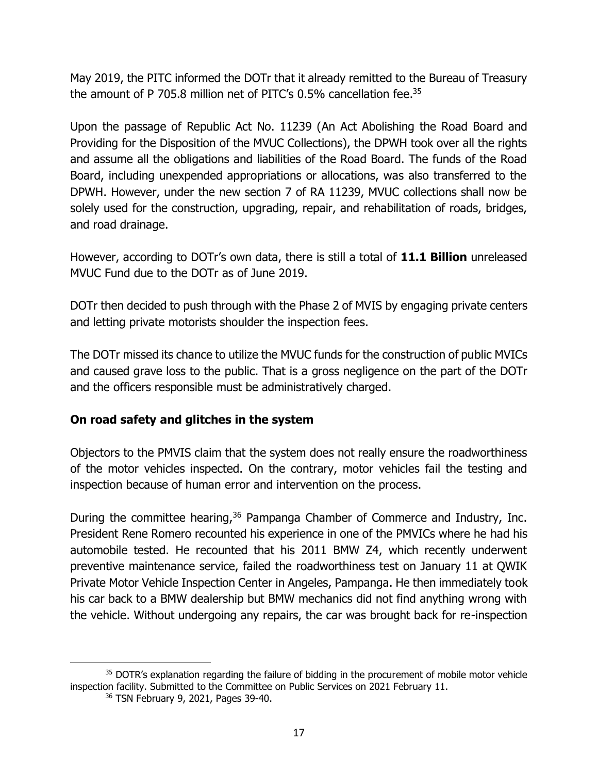May 2019, the PITC informed the DOTr that it already remitted to the Bureau of Treasury the amount of P 705.8 million net of PITC's 0.5% cancellation fee.<sup>35</sup>

Upon the passage of Republic Act No. 11239 (An Act Abolishing the Road Board and Providing for the Disposition of the MVUC Collections), the DPWH took over all the rights and assume all the obligations and liabilities of the Road Board. The funds of the Road Board, including unexpended appropriations or allocations, was also transferred to the DPWH. However, under the new section 7 of RA 11239, MVUC collections shall now be solely used for the construction, upgrading, repair, and rehabilitation of roads, bridges, and road drainage.

However, according to DOTr's own data, there is still a total of **11.1 Billion** unreleased MVUC Fund due to the DOTr as of June 2019.

DOTr then decided to push through with the Phase 2 of MVIS by engaging private centers and letting private motorists shoulder the inspection fees.

The DOTr missed its chance to utilize the MVUC funds for the construction of public MVICs and caused grave loss to the public. That is a gross negligence on the part of the DOTr and the officers responsible must be administratively charged.

## **On road safety and glitches in the system**

Objectors to the PMVIS claim that the system does not really ensure the roadworthiness of the motor vehicles inspected. On the contrary, motor vehicles fail the testing and inspection because of human error and intervention on the process.

During the committee hearing,<sup>36</sup> Pampanga Chamber of Commerce and Industry, Inc. President Rene Romero recounted his experience in one of the PMVICs where he had his automobile tested. He recounted that his 2011 BMW Z4, which recently underwent preventive maintenance service, failed the roadworthiness test on January 11 at QWIK Private Motor Vehicle Inspection Center in Angeles, Pampanga. He then immediately took his car back to a BMW dealership but BMW mechanics did not find anything wrong with the vehicle. Without undergoing any repairs, the car was brought back for re-inspection

<sup>&</sup>lt;sup>35</sup> DOTR's explanation regarding the failure of bidding in the procurement of mobile motor vehicle inspection facility. Submitted to the Committee on Public Services on 2021 February 11.

<sup>36</sup> TSN February 9, 2021, Pages 39-40.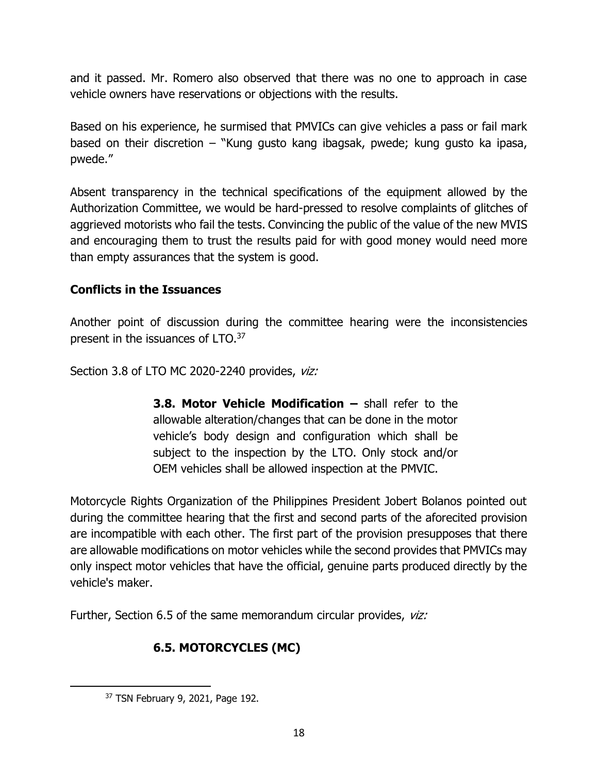and it passed. Mr. Romero also observed that there was no one to approach in case vehicle owners have reservations or objections with the results.

Based on his experience, he surmised that PMVICs can give vehicles a pass or fail mark based on their discretion – "Kung gusto kang ibagsak, pwede; kung gusto ka ipasa, pwede."

Absent transparency in the technical specifications of the equipment allowed by the Authorization Committee, we would be hard-pressed to resolve complaints of glitches of aggrieved motorists who fail the tests. Convincing the public of the value of the new MVIS and encouraging them to trust the results paid for with good money would need more than empty assurances that the system is good.

## **Conflicts in the Issuances**

Another point of discussion during the committee hearing were the inconsistencies present in the issuances of LTO.<sup>37</sup>

Section 3.8 of LTO MC 2020-2240 provides, viz:

**3.8. Motor Vehicle Modification –** shall refer to the allowable alteration/changes that can be done in the motor vehicle's body design and configuration which shall be subject to the inspection by the LTO. Only stock and/or OEM vehicles shall be allowed inspection at the PMVIC.

Motorcycle Rights Organization of the Philippines President Jobert Bolanos pointed out during the committee hearing that the first and second parts of the aforecited provision are incompatible with each other. The first part of the provision presupposes that there are allowable modifications on motor vehicles while the second provides that PMVICs may only inspect motor vehicles that have the official, genuine parts produced directly by the vehicle's maker.

Further, Section 6.5 of the same memorandum circular provides, viz:

# **6.5. MOTORCYCLES (MC)**

<sup>37</sup> TSN February 9, 2021, Page 192.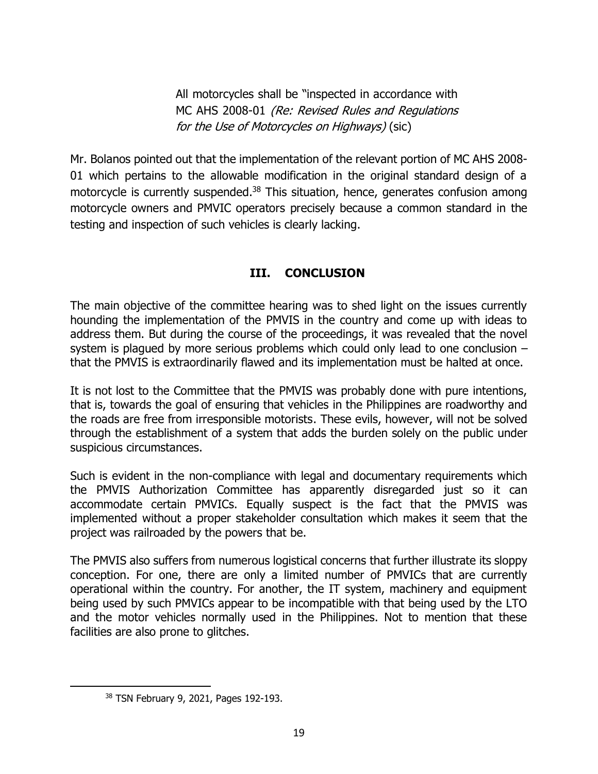All motorcycles shall be "inspected in accordance with MC AHS 2008-01 (Re: Revised Rules and Regulations for the Use of Motorcycles on Highways) (sic)

Mr. Bolanos pointed out that the implementation of the relevant portion of MC AHS 2008- 01 which pertains to the allowable modification in the original standard design of a motorcycle is currently suspended.<sup>38</sup> This situation, hence, generates confusion among motorcycle owners and PMVIC operators precisely because a common standard in the testing and inspection of such vehicles is clearly lacking.

## **III. CONCLUSION**

The main objective of the committee hearing was to shed light on the issues currently hounding the implementation of the PMVIS in the country and come up with ideas to address them. But during the course of the proceedings, it was revealed that the novel system is plagued by more serious problems which could only lead to one conclusion – that the PMVIS is extraordinarily flawed and its implementation must be halted at once.

It is not lost to the Committee that the PMVIS was probably done with pure intentions, that is, towards the goal of ensuring that vehicles in the Philippines are roadworthy and the roads are free from irresponsible motorists. These evils, however, will not be solved through the establishment of a system that adds the burden solely on the public under suspicious circumstances.

Such is evident in the non-compliance with legal and documentary requirements which the PMVIS Authorization Committee has apparently disregarded just so it can accommodate certain PMVICs. Equally suspect is the fact that the PMVIS was implemented without a proper stakeholder consultation which makes it seem that the project was railroaded by the powers that be.

The PMVIS also suffers from numerous logistical concerns that further illustrate its sloppy conception. For one, there are only a limited number of PMVICs that are currently operational within the country. For another, the IT system, machinery and equipment being used by such PMVICs appear to be incompatible with that being used by the LTO and the motor vehicles normally used in the Philippines. Not to mention that these facilities are also prone to glitches.

<sup>38</sup> TSN February 9, 2021, Pages 192-193.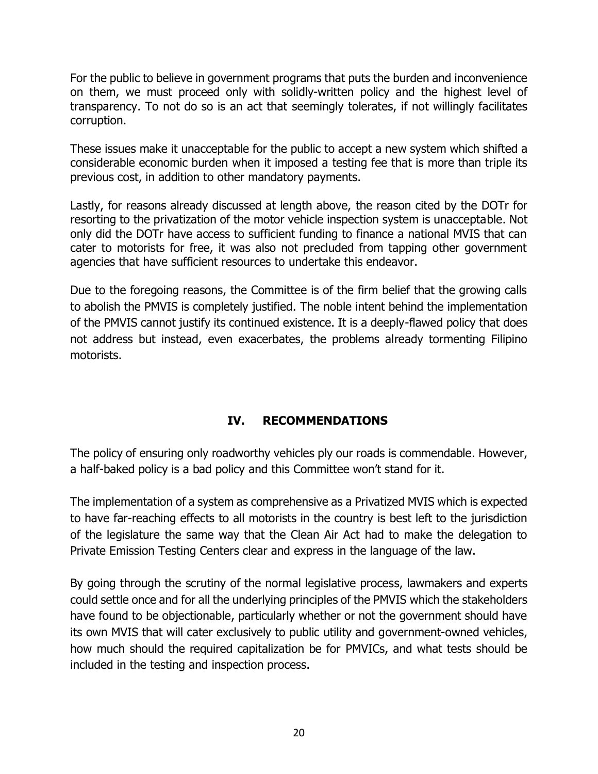For the public to believe in government programs that puts the burden and inconvenience on them, we must proceed only with solidly-written policy and the highest level of transparency. To not do so is an act that seemingly tolerates, if not willingly facilitates corruption.

These issues make it unacceptable for the public to accept a new system which shifted a considerable economic burden when it imposed a testing fee that is more than triple its previous cost, in addition to other mandatory payments.

Lastly, for reasons already discussed at length above, the reason cited by the DOTr for resorting to the privatization of the motor vehicle inspection system is unacceptable. Not only did the DOTr have access to sufficient funding to finance a national MVIS that can cater to motorists for free, it was also not precluded from tapping other government agencies that have sufficient resources to undertake this endeavor.

Due to the foregoing reasons, the Committee is of the firm belief that the growing calls to abolish the PMVIS is completely justified. The noble intent behind the implementation of the PMVIS cannot justify its continued existence. It is a deeply-flawed policy that does not address but instead, even exacerbates, the problems already tormenting Filipino motorists.

# **IV. RECOMMENDATIONS**

The policy of ensuring only roadworthy vehicles ply our roads is commendable. However, a half-baked policy is a bad policy and this Committee won't stand for it.

The implementation of a system as comprehensive as a Privatized MVIS which is expected to have far-reaching effects to all motorists in the country is best left to the jurisdiction of the legislature the same way that the Clean Air Act had to make the delegation to Private Emission Testing Centers clear and express in the language of the law.

By going through the scrutiny of the normal legislative process, lawmakers and experts could settle once and for all the underlying principles of the PMVIS which the stakeholders have found to be objectionable, particularly whether or not the government should have its own MVIS that will cater exclusively to public utility and government-owned vehicles, how much should the required capitalization be for PMVICs, and what tests should be included in the testing and inspection process.